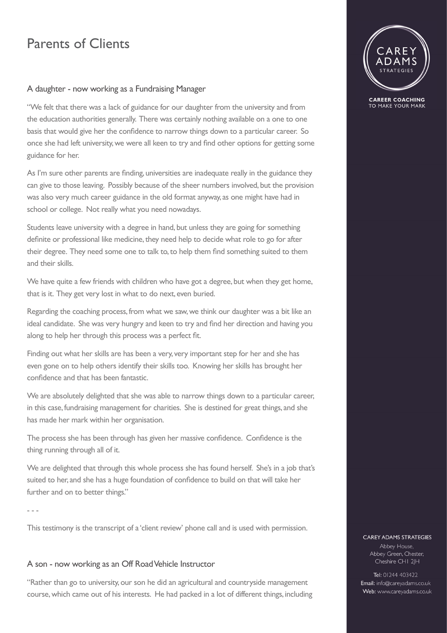## Parents of Clients

### A daughter - now working as a Fundraising Manager

"We felt that there was a lack of guidance for our daughter from the university and from the education authorities generally. There was certainly nothing available on a one to one basis that would give her the confidence to narrow things down to a particular career. So once she had left university, we were all keen to try and find other options for getting some guidance for her.

As I'm sure other parents are finding, universities are inadequate really in the guidance they can give to those leaving. Possibly because of the sheer numbers involved, but the provision was also very much career guidance in the old format anyway, as one might have had in school or college. Not really what you need nowadays.

Students leave university with a degree in hand, but unless they are going for something definite or professional like medicine, they need help to decide what role to go for after their degree. They need some one to talk to, to help them find something suited to them and their skills.

We have quite a few friends with children who have got a degree, but when they get home, that is it. They get very lost in what to do next, even buried.

Regarding the coaching process, from what we saw, we think our daughter was a bit like an ideal candidate. She was very hungry and keen to try and find her direction and having you along to help her through this process was a perfect fit.

Finding out what her skills are has been a very, very important step for her and she has even gone on to help others identify their skills too. Knowing her skills has brought her confidence and that has been fantastic.

We are absolutely delighted that she was able to narrow things down to a particular career, in this case, fundraising management for charities. She is destined for great things, and she has made her mark within her organisation.

The process she has been through has given her massive confidence. Confidence is the thing running through all of it.

We are delighted that through this whole process she has found herself. She's in a job that's suited to her, and she has a huge foundation of confidence to build on that will take her further and on to better things."

- - -

This testimony is the transcript of a 'client review' phone call and is used with permission.

### A son - now working as an Off Road Vehicle Instructor

"Rather than go to university, our son he did an agricultural and countryside management course, which came out of his interests. He had packed in a lot of different things, including



**CAREER COACHING** TO MAKE YOUR MARK

#### **CAREY ADAMS STRATEGIES**

Abbey House, Abbey Green, Chester, Cheshire CHI 2JH

Tel: 01244 403422 Email: info@careyadams.co.uk Web: www.careyadams.co.uk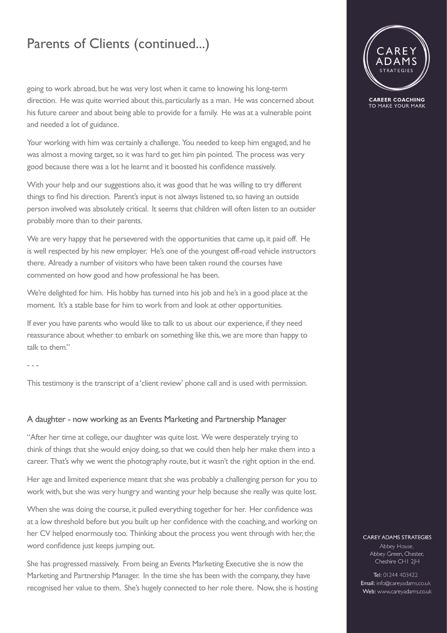## Parents of Clients (continued...)

going to work abroad, but he was very lost when it came to knowing his long-term direction. He was quite worried about this, particularly as a man. He was concerned about his future career and about being able to provide for a family. He was at a vulnerable point and needed a lot of guidance.

Your working with him was certainly a challenge. You needed to keep him engaged, and he was almost a moving target, so it was hard to get him pin pointed. The process was very good because there was a lot he learnt and it boosted his confidence massively.

With your help and our suggestions also, it was good that he was willing to try different things to find his direction. Parent's input is not always listened to, so having an outside person involved was absolutely critical. It seems that children will often listen to an outsider probably more than to their parents.

We are very happy that he persevered with the opportunities that came up, it paid off. He is well respected by his new employer. He's one of the youngest off-road vehicle instructors there. Already a number of visitors who have been taken round the courses have commented on how good and how professional he has been.

We're delighted for him. His hobby has turned into his job and he's in a good place at the moment. It's a stable base for him to work from and look at other opportunities.

If ever you have parents who would like to talk to us about our experience, if they need reassurance about whether to embark on something like this, we are more than happy to talk to them."

- - -

This testimony is the transcript of a 'client review' phone call and is used with permission.

### A daughter - now working as an Events Marketing and Partnership Manager

"After her time at college, our daughter was quite lost. We were desperately trying to think of things that she would enjoy doing, so that we could then help her make them into a career. That's why we went the photography route, but it wasn't the right option in the end.

Her age and limited experience meant that she was probably a challenging person for you to work with, but she was very hungry and wanting your help because she really was quite lost.

When she was doing the course, it pulled everything together for her. Her confidence was at a low threshold before but you built up her confidence with the coaching, and working on her CV helped enormously too. Thinking about the process you went through with her, the word confidence just keeps jumping out.

She has progressed massively. From being an Events Marketing Executive she is now the Marketing and Partnership Manager. In the time she has been with the company, they have recognised her value to them. She's hugely connected to her role there. Now, she is hosting



**CAREER COACHING** TO MAKE YOUR MARK

#### **CAREY ADAMS STRATEGIES**

Abbey House, Abbey Green, Chester, Cheshire CHI 2JH

Tel: 01244 403422 Email: info@careyadams.co.uk Web: www.careyadams.co.uk